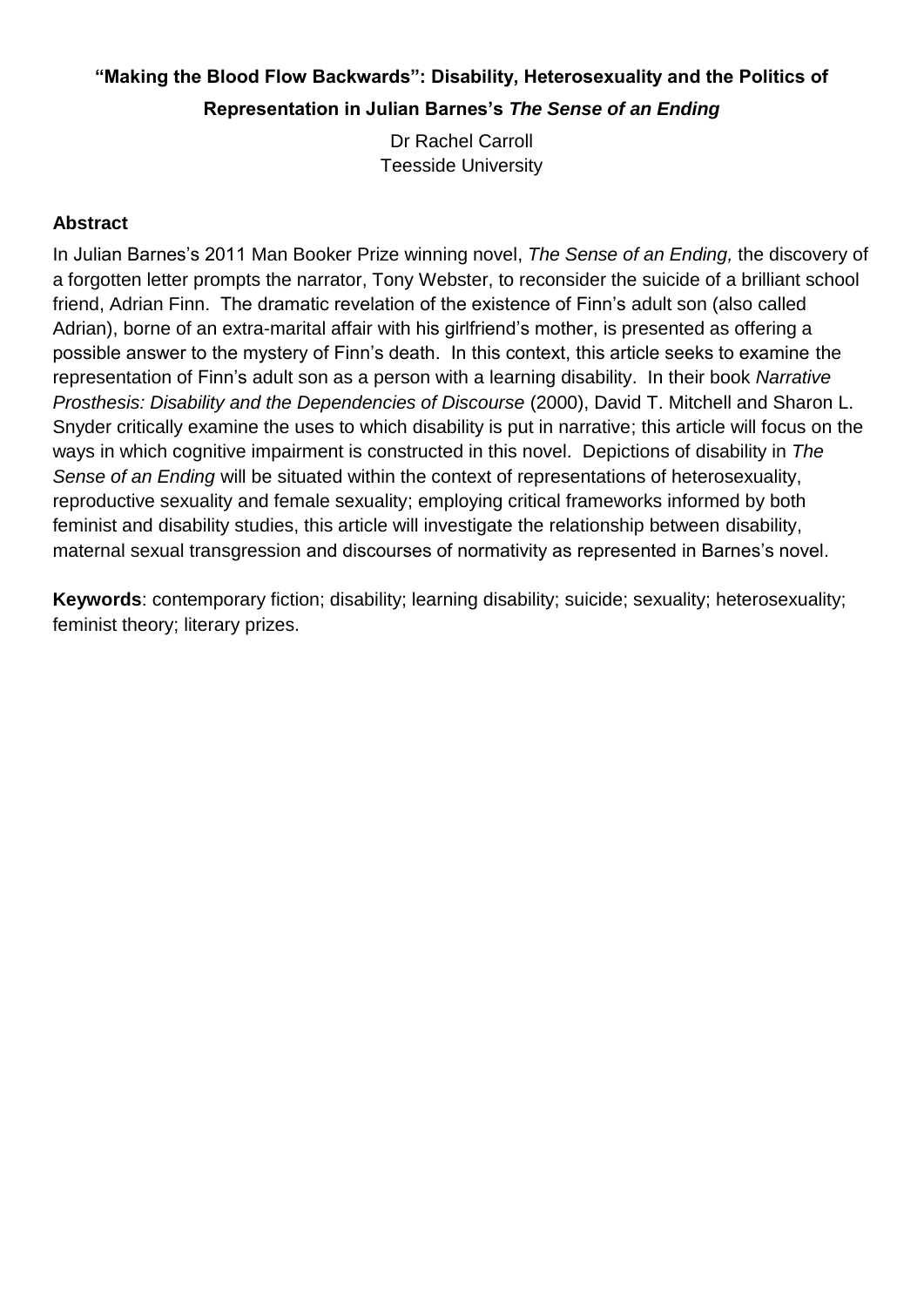# **"Making the Blood Flow Backwards": Disability, Heterosexuality and the Politics of Representation in Julian Barnes's** *The Sense of an Ending*

Dr Rachel Carroll Teesside University

### **Abstract**

In Julian Barnes's 2011 Man Booker Prize winning novel, *The Sense of an Ending,* the discovery of a forgotten letter prompts the narrator, Tony Webster, to reconsider the suicide of a brilliant school friend, Adrian Finn. The dramatic revelation of the existence of Finn's adult son (also called Adrian), borne of an extra-marital affair with his girlfriend's mother, is presented as offering a possible answer to the mystery of Finn's death. In this context, this article seeks to examine the representation of Finn's adult son as a person with a learning disability. In their book *Narrative Prosthesis: Disability and the Dependencies of Discourse* (2000), David T. Mitchell and Sharon L. Snyder critically examine the uses to which disability is put in narrative; this article will focus on the ways in which cognitive impairment is constructed in this novel. Depictions of disability in *The Sense of an Ending* will be situated within the context of representations of heterosexuality, reproductive sexuality and female sexuality; employing critical frameworks informed by both feminist and disability studies, this article will investigate the relationship between disability, maternal sexual transgression and discourses of normativity as represented in Barnes's novel.

**Keywords**: contemporary fiction; disability; learning disability; suicide; sexuality; heterosexuality; feminist theory; literary prizes.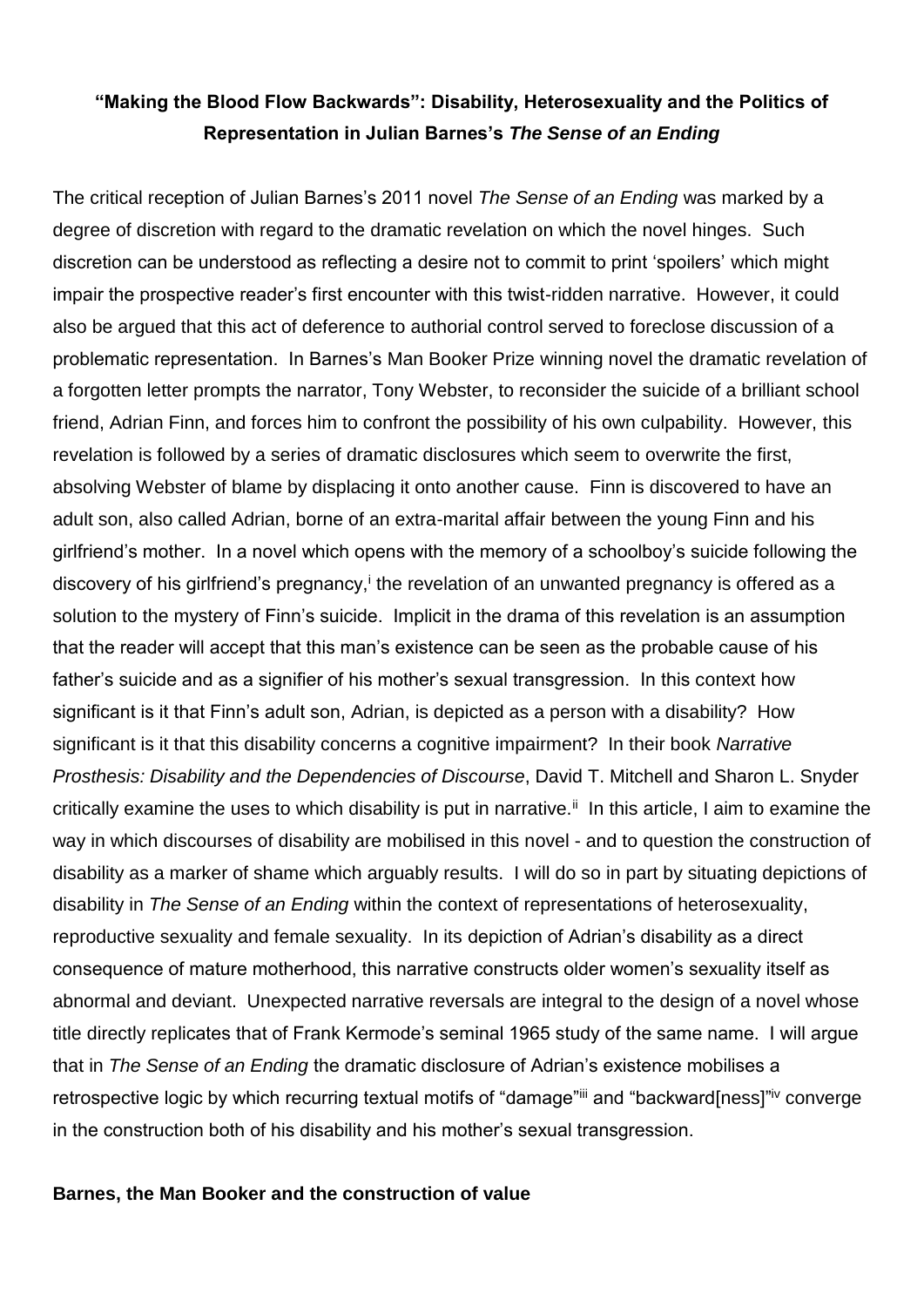## **"Making the Blood Flow Backwards": Disability, Heterosexuality and the Politics of Representation in Julian Barnes's** *The Sense of an Ending*

The critical reception of Julian Barnes's 2011 novel *The Sense of an Ending* was marked by a degree of discretion with regard to the dramatic revelation on which the novel hinges. Such discretion can be understood as reflecting a desire not to commit to print 'spoilers' which might impair the prospective reader's first encounter with this twist-ridden narrative. However, it could also be argued that this act of deference to authorial control served to foreclose discussion of a problematic representation. In Barnes's Man Booker Prize winning novel the dramatic revelation of a forgotten letter prompts the narrator, Tony Webster, to reconsider the suicide of a brilliant school friend, Adrian Finn, and forces him to confront the possibility of his own culpability. However, this revelation is followed by a series of dramatic disclosures which seem to overwrite the first, absolving Webster of blame by displacing it onto another cause. Finn is discovered to have an adult son, also called Adrian, borne of an extra-marital affair between the young Finn and his girlfriend's mother. In a novel which opens with the memory of a schoolboy's suicide following the discovery of his girlfriend's pregnancy,<sup>i</sup> the revelation of an unwanted pregnancy is offered as a solution to the mystery of Finn's suicide. Implicit in the drama of this revelation is an assumption that the reader will accept that this man's existence can be seen as the probable cause of his father's suicide and as a signifier of his mother's sexual transgression. In this context how significant is it that Finn's adult son, Adrian, is depicted as a person with a disability? How significant is it that this disability concerns a cognitive impairment? In their book *Narrative Prosthesis: Disability and the Dependencies of Discourse*, David T. Mitchell and Sharon L. Snyder critically examine the uses to which disability is put in narrative.<sup>ii</sup> In this article, I aim to examine the way in which discourses of disability are mobilised in this novel - and to question the construction of disability as a marker of shame which arguably results. I will do so in part by situating depictions of disability in *The Sense of an Ending* within the context of representations of heterosexuality, reproductive sexuality and female sexuality. In its depiction of Adrian's disability as a direct consequence of mature motherhood, this narrative constructs older women's sexuality itself as abnormal and deviant. Unexpected narrative reversals are integral to the design of a novel whose title directly replicates that of Frank Kermode's seminal 1965 study of the same name. I will argue that in *The Sense of an Ending* the dramatic disclosure of Adrian's existence mobilises a retrospective logic by which recurring textual motifs of "damage"iii and "backward[ness]"iv converge in the construction both of his disability and his mother's sexual transgression.

#### **Barnes, the Man Booker and the construction of value**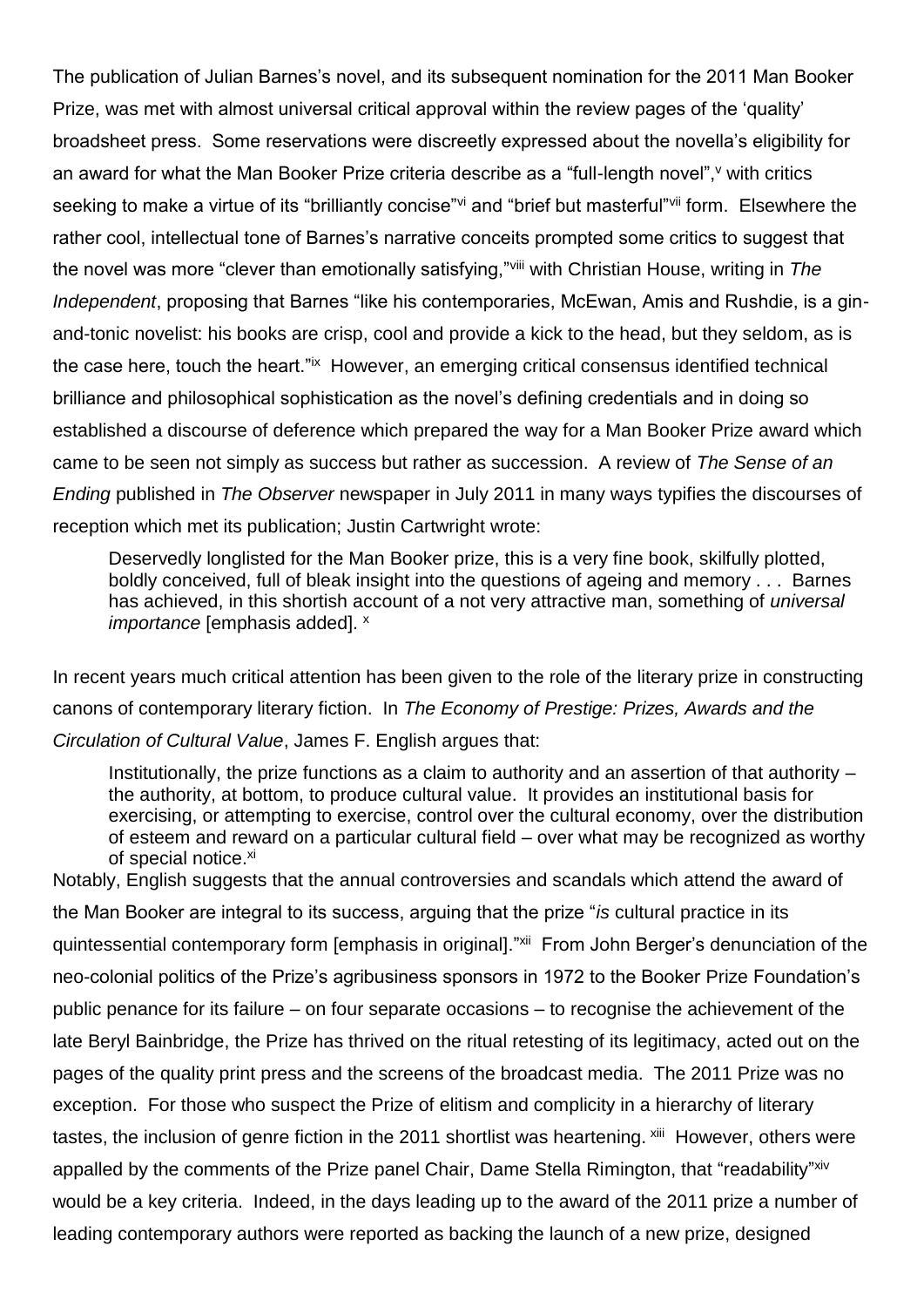The publication of Julian Barnes's novel, and its subsequent nomination for the 2011 Man Booker Prize, was met with almost universal critical approval within the review pages of the 'quality' broadsheet press. Some reservations were discreetly expressed about the novella's eligibility for an award for what the Man Booker Prize criteria describe as a "full-length novel", v with critics seeking to make a virtue of its "brilliantly concise" and "brief but masterful" if orm. Elsewhere the rather cool, intellectual tone of Barnes's narrative conceits prompted some critics to suggest that the novel was more "clever than emotionally satisfying,"viii with Christian House, writing in *The Independent*, proposing that Barnes "like his contemporaries, McEwan, Amis and Rushdie, is a ginand-tonic novelist: his books are crisp, cool and provide a kick to the head, but they seldom, as is the case here, touch the heart."ix However, an emerging critical consensus identified technical brilliance and philosophical sophistication as the novel's defining credentials and in doing so established a discourse of deference which prepared the way for a Man Booker Prize award which came to be seen not simply as success but rather as succession. A review of *The Sense of an Ending* published in *The Observer* newspaper in July 2011 in many ways typifies the discourses of reception which met its publication; Justin Cartwright wrote:

Deservedly longlisted for the Man Booker prize, this is a very fine book, skilfully plotted, boldly conceived, full of bleak insight into the questions of ageing and memory . . . Barnes has achieved, in this shortish account of a not very attractive man, something of *universal importance* [emphasis added]. x

In recent years much critical attention has been given to the role of the literary prize in constructing canons of contemporary literary fiction. In *The Economy of Prestige: Prizes, Awards and the Circulation of Cultural Value*, James F. English argues that:

Institutionally, the prize functions as a claim to authority and an assertion of that authority – the authority, at bottom, to produce cultural value. It provides an institutional basis for exercising, or attempting to exercise, control over the cultural economy, over the distribution of esteem and reward on a particular cultural field – over what may be recognized as worthy of special notice.<sup>xi</sup>

Notably, English suggests that the annual controversies and scandals which attend the award of the Man Booker are integral to its success, arguing that the prize "*is* cultural practice in its quintessential contemporary form [emphasis in original]."<sup>xii</sup> From John Berger's denunciation of the neo-colonial politics of the Prize's agribusiness sponsors in 1972 to the Booker Prize Foundation's public penance for its failure – on four separate occasions – to recognise the achievement of the late Beryl Bainbridge, the Prize has thrived on the ritual retesting of its legitimacy, acted out on the pages of the quality print press and the screens of the broadcast media. The 2011 Prize was no exception. For those who suspect the Prize of elitism and complicity in a hierarchy of literary tastes, the inclusion of genre fiction in the 2011 shortlist was heartening. <sup>xiii</sup> However, others were appalled by the comments of the Prize panel Chair, Dame Stella Rimington, that "readability"xiv would be a key criteria. Indeed, in the days leading up to the award of the 2011 prize a number of leading contemporary authors were reported as backing the launch of a new prize, designed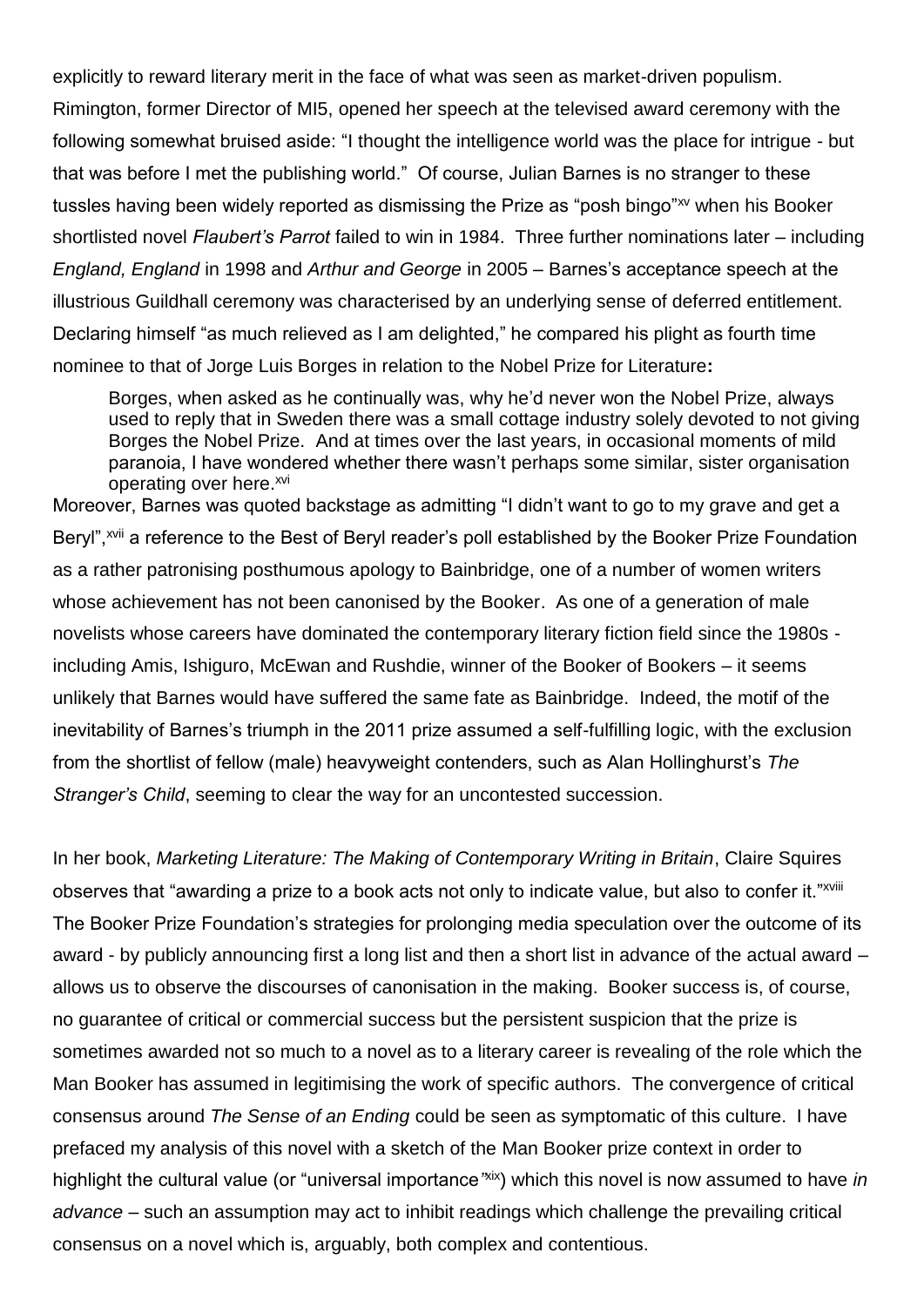explicitly to reward literary merit in the face of what was seen as market-driven populism. Rimington, former Director of MI5, opened her speech at the televised award ceremony with the following somewhat bruised aside: "I thought the intelligence world was the place for intrigue - but that was before I met the publishing world." Of course, Julian Barnes is no stranger to these tussles having been widely reported as dismissing the Prize as "posh bingo"<sup>xy</sup> when his Booker shortlisted novel *Flaubert's Parrot* failed to win in 1984. Three further nominations later – including *England, England* in 1998 and *Arthur and George* in 2005 – Barnes's acceptance speech at the illustrious Guildhall ceremony was characterised by an underlying sense of deferred entitlement. Declaring himself "as much relieved as I am delighted," he compared his plight as fourth time nominee to that of Jorge Luis Borges in relation to the Nobel Prize for Literature**:**

Borges, when asked as he continually was, why he'd never won the Nobel Prize, always used to reply that in Sweden there was a small cottage industry solely devoted to not giving Borges the Nobel Prize. And at times over the last years, in occasional moments of mild paranoia, I have wondered whether there wasn't perhaps some similar, sister organisation operating over here.xvi

Moreover, Barnes was quoted backstage as admitting "I didn't want to go to my grave and get a Beryl", xvii a reference to the Best of Beryl reader's poll established by the Booker Prize Foundation as a rather patronising posthumous apology to Bainbridge, one of a number of women writers whose achievement has not been canonised by the Booker. As one of a generation of male novelists whose careers have dominated the contemporary literary fiction field since the 1980s including Amis, Ishiguro, McEwan and Rushdie, winner of the Booker of Bookers – it seems unlikely that Barnes would have suffered the same fate as Bainbridge. Indeed, the motif of the inevitability of Barnes's triumph in the 2011 prize assumed a self-fulfilling logic, with the exclusion from the shortlist of fellow (male) heavyweight contenders, such as Alan Hollinghurst's *The Stranger's Child*, seeming to clear the way for an uncontested succession.

In her book, *Marketing Literature: The Making of Contemporary Writing in Britain*, Claire Squires observes that "awarding a prize to a book acts not only to indicate value, but also to confer it."xviii The Booker Prize Foundation's strategies for prolonging media speculation over the outcome of its award - by publicly announcing first a long list and then a short list in advance of the actual award – allows us to observe the discourses of canonisation in the making. Booker success is, of course, no guarantee of critical or commercial success but the persistent suspicion that the prize is sometimes awarded not so much to a novel as to a literary career is revealing of the role which the Man Booker has assumed in legitimising the work of specific authors. The convergence of critical consensus around *The Sense of an Ending* could be seen as symptomatic of this culture. I have prefaced my analysis of this novel with a sketch of the Man Booker prize context in order to highlight the cultural value (or "universal importance"xix) which this novel is now assumed to have *in advance –* such an assumption may act to inhibit readings which challenge the prevailing critical consensus on a novel which is, arguably, both complex and contentious.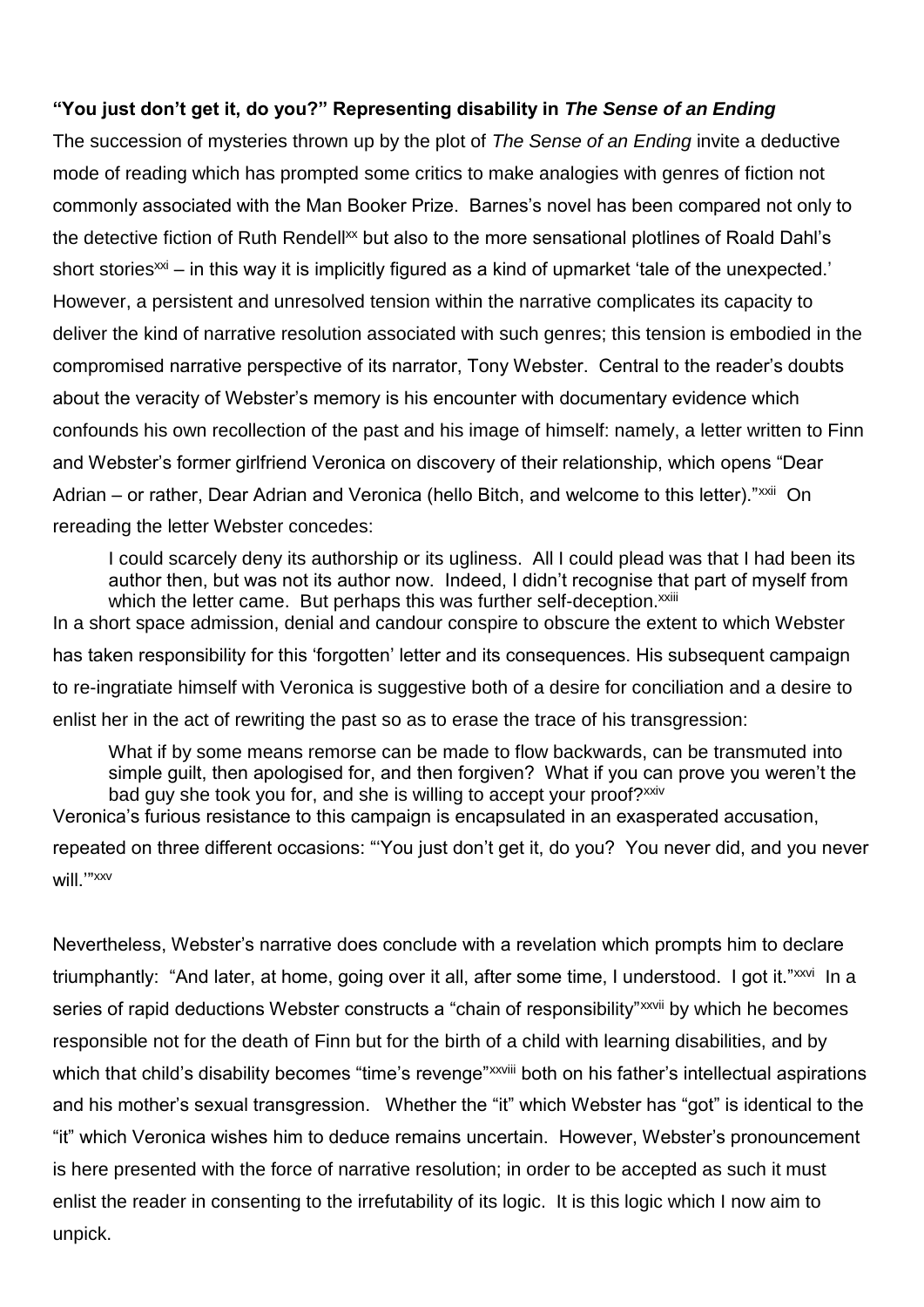### **"You just don't get it, do you?" Representing disability in** *The Sense of an Ending*

The succession of mysteries thrown up by the plot of *The Sense of an Ending* invite a deductive mode of reading which has prompted some critics to make analogies with genres of fiction not commonly associated with the Man Booker Prize. Barnes's novel has been compared not only to the detective fiction of Ruth Rendell<sup>xx</sup> but also to the more sensational plotlines of Roald Dahl's short stories<sup> $x$ i</sup> – in this way it is implicitly figured as a kind of upmarket 'tale of the unexpected.' However, a persistent and unresolved tension within the narrative complicates its capacity to deliver the kind of narrative resolution associated with such genres; this tension is embodied in the compromised narrative perspective of its narrator, Tony Webster. Central to the reader's doubts about the veracity of Webster's memory is his encounter with documentary evidence which confounds his own recollection of the past and his image of himself: namely, a letter written to Finn and Webster's former girlfriend Veronica on discovery of their relationship, which opens "Dear Adrian – or rather, Dear Adrian and Veronica (hello Bitch, and welcome to this letter)."<sup>xxii</sup> On rereading the letter Webster concedes:

I could scarcely deny its authorship or its ugliness. All I could plead was that I had been its author then, but was not its author now. Indeed, I didn't recognise that part of myself from which the letter came. But perhaps this was further self-deception.<sup>xxiii</sup> In a short space admission, denial and candour conspire to obscure the extent to which Webster

has taken responsibility for this 'forgotten' letter and its consequences. His subsequent campaign to re-ingratiate himself with Veronica is suggestive both of a desire for conciliation and a desire to enlist her in the act of rewriting the past so as to erase the trace of his transgression:

What if by some means remorse can be made to flow backwards, can be transmuted into simple guilt, then apologised for, and then forgiven? What if you can prove you weren't the bad guy she took you for, and she is willing to accept your proof?<sup>xxiv</sup>

Veronica's furious resistance to this campaign is encapsulated in an exasperated accusation,

repeated on three different occasions: "'You just don't get it, do you? You never did, and you never will.'"xxv

Nevertheless, Webster's narrative does conclude with a revelation which prompts him to declare triumphantly: "And later, at home, going over it all, after some time, I understood. I got it."<sup>xxvi</sup>ln a series of rapid deductions Webster constructs a "chain of responsibility"<sup>xxvii</sup> by which he becomes responsible not for the death of Finn but for the birth of a child with learning disabilities, and by which that child's disability becomes "time's revenge"<sup>xxviii</sup> both on his father's intellectual aspirations and his mother's sexual transgression. Whether the "it" which Webster has "got" is identical to the "it" which Veronica wishes him to deduce remains uncertain. However, Webster's pronouncement is here presented with the force of narrative resolution; in order to be accepted as such it must enlist the reader in consenting to the irrefutability of its logic. It is this logic which I now aim to unpick.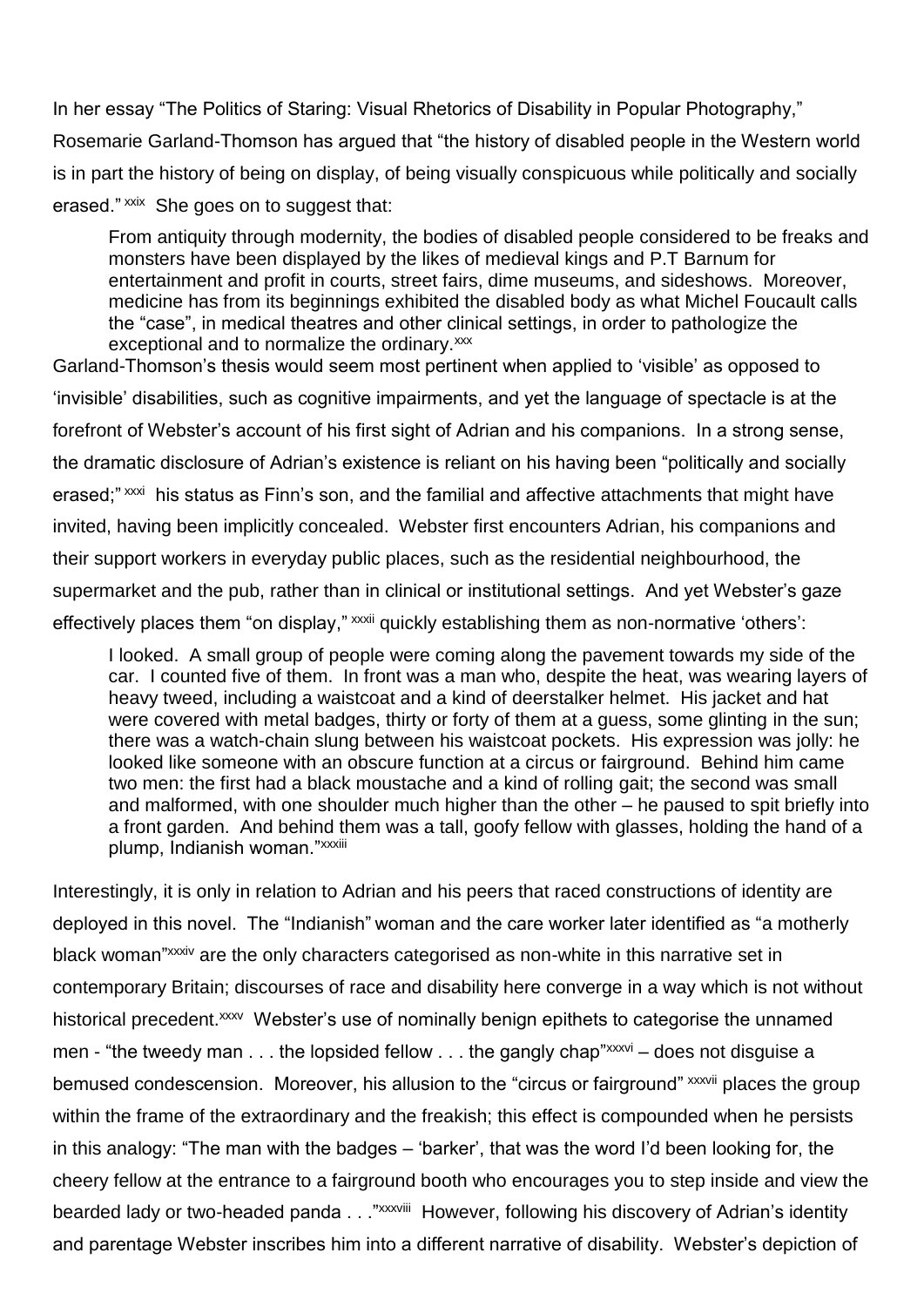In her essay "The Politics of Staring: Visual Rhetorics of Disability in Popular Photography," Rosemarie Garland-Thomson has argued that "the history of disabled people in the Western world is in part the history of being on display, of being visually conspicuous while politically and socially erased."<sup>xxix</sup> She goes on to suggest that:

From antiquity through modernity, the bodies of disabled people considered to be freaks and monsters have been displayed by the likes of medieval kings and P.T Barnum for entertainment and profit in courts, street fairs, dime museums, and sideshows. Moreover, medicine has from its beginnings exhibited the disabled body as what Michel Foucault calls the "case", in medical theatres and other clinical settings, in order to pathologize the exceptional and to normalize the ordinary.xxx

Garland-Thomson's thesis would seem most pertinent when applied to 'visible' as opposed to 'invisible' disabilities, such as cognitive impairments, and yet the language of spectacle is at the forefront of Webster's account of his first sight of Adrian and his companions. In a strong sense, the dramatic disclosure of Adrian's existence is reliant on his having been "politically and socially erased;"<sup>xxxi</sup> his status as Finn's son, and the familial and affective attachments that might have invited, having been implicitly concealed. Webster first encounters Adrian, his companions and their support workers in everyday public places, such as the residential neighbourhood, the supermarket and the pub, rather than in clinical or institutional settings. And yet Webster's gaze effectively places them "on display," xxxii quickly establishing them as non-normative 'others':

I looked. A small group of people were coming along the pavement towards my side of the car. I counted five of them. In front was a man who, despite the heat, was wearing layers of heavy tweed, including a waistcoat and a kind of deerstalker helmet. His jacket and hat were covered with metal badges, thirty or forty of them at a guess, some glinting in the sun; there was a watch-chain slung between his waistcoat pockets. His expression was jolly: he looked like someone with an obscure function at a circus or fairground. Behind him came two men: the first had a black moustache and a kind of rolling gait; the second was small and malformed, with one shoulder much higher than the other – he paused to spit briefly into a front garden. And behind them was a tall, goofy fellow with glasses, holding the hand of a plump, Indianish woman."xxxiii

Interestingly, it is only in relation to Adrian and his peers that raced constructions of identity are deployed in this novel. The "Indianish" woman and the care worker later identified as "a motherly black woman"<sup>xxxiv</sup> are the only characters categorised as non-white in this narrative set in contemporary Britain; discourses of race and disability here converge in a way which is not without historical precedent.<sup>xxxv</sup> Webster's use of nominally benign epithets to categorise the unnamed men - "the tweedy man  $\dots$  the lopsided fellow  $\dots$  the gangly chap" $xxxy$  – does not disquise a bemused condescension. Moreover, his allusion to the "circus or fairground" xxxvii places the group within the frame of the extraordinary and the freakish; this effect is compounded when he persists in this analogy: "The man with the badges – 'barker', that was the word I'd been looking for, the cheery fellow at the entrance to a fairground booth who encourages you to step inside and view the bearded lady or two-headed panda . . ."<sup>xxxviii</sup> However, following his discovery of Adrian's identity and parentage Webster inscribes him into a different narrative of disability. Webster's depiction of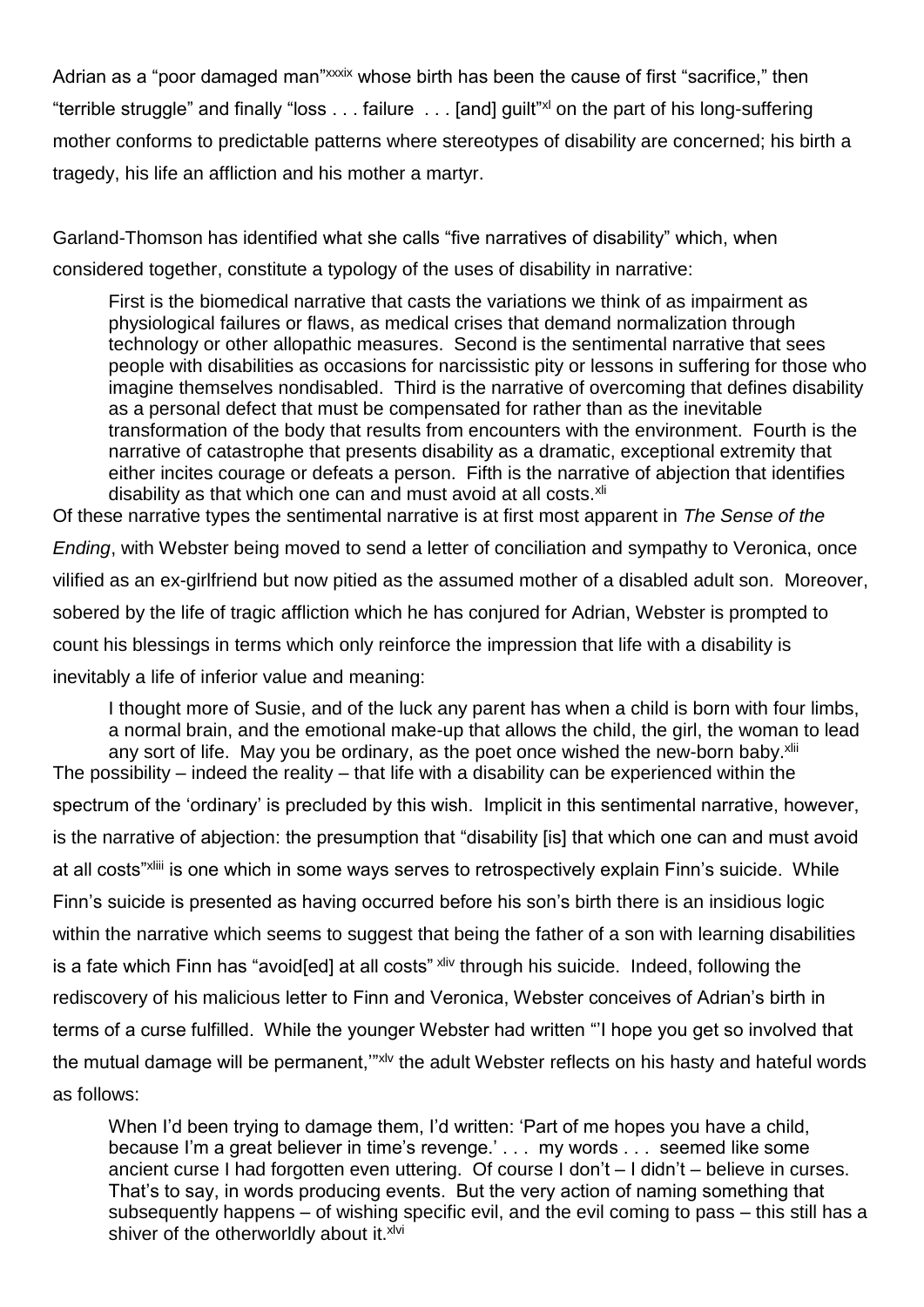Adrian as a "poor damaged man"xxxix whose birth has been the cause of first "sacrifice," then "terrible struggle" and finally "loss . . . failure . . . [and] guilt"xl on the part of his long-suffering mother conforms to predictable patterns where stereotypes of disability are concerned; his birth a tragedy, his life an affliction and his mother a martyr.

Garland-Thomson has identified what she calls "five narratives of disability" which, when considered together, constitute a typology of the uses of disability in narrative:

First is the biomedical narrative that casts the variations we think of as impairment as physiological failures or flaws, as medical crises that demand normalization through technology or other allopathic measures. Second is the sentimental narrative that sees people with disabilities as occasions for narcissistic pity or lessons in suffering for those who imagine themselves nondisabled. Third is the narrative of overcoming that defines disability as a personal defect that must be compensated for rather than as the inevitable transformation of the body that results from encounters with the environment. Fourth is the narrative of catastrophe that presents disability as a dramatic, exceptional extremity that either incites courage or defeats a person. Fifth is the narrative of abjection that identifies disability as that which one can and must avoid at all costs.<sup>xli</sup>

Of these narrative types the sentimental narrative is at first most apparent in *The Sense of the Ending*, with Webster being moved to send a letter of conciliation and sympathy to Veronica, once vilified as an ex-girlfriend but now pitied as the assumed mother of a disabled adult son. Moreover, sobered by the life of tragic affliction which he has conjured for Adrian, Webster is prompted to count his blessings in terms which only reinforce the impression that life with a disability is inevitably a life of inferior value and meaning:

I thought more of Susie, and of the luck any parent has when a child is born with four limbs, a normal brain, and the emotional make-up that allows the child, the girl, the woman to lead any sort of life. May you be ordinary, as the poet once wished the new-born baby.<sup>xlii</sup> The possibility – indeed the reality – that life with a disability can be experienced within the spectrum of the 'ordinary' is precluded by this wish. Implicit in this sentimental narrative, however, is the narrative of abjection: the presumption that "disability [is] that which one can and must avoid at all costs"<sup>xliii</sup> is one which in some ways serves to retrospectively explain Finn's suicide. While Finn's suicide is presented as having occurred before his son's birth there is an insidious logic within the narrative which seems to suggest that being the father of a son with learning disabilities is a fate which Finn has "avoid[ed] at all costs" xliv through his suicide. Indeed, following the rediscovery of his malicious letter to Finn and Veronica, Webster conceives of Adrian's birth in terms of a curse fulfilled. While the younger Webster had written "'I hope you get so involved that the mutual damage will be permanent,"<sup>"xlv</sup> the adult Webster reflects on his hasty and hateful words as follows:

When I'd been trying to damage them, I'd written: 'Part of me hopes you have a child, because I'm a great believer in time's revenge.' . . . my words . . . seemed like some ancient curse I had forgotten even uttering. Of course I don't – I didn't – believe in curses. That's to say, in words producing events. But the very action of naming something that subsequently happens – of wishing specific evil, and the evil coming to pass – this still has a shiver of the otherworldly about it. xlvi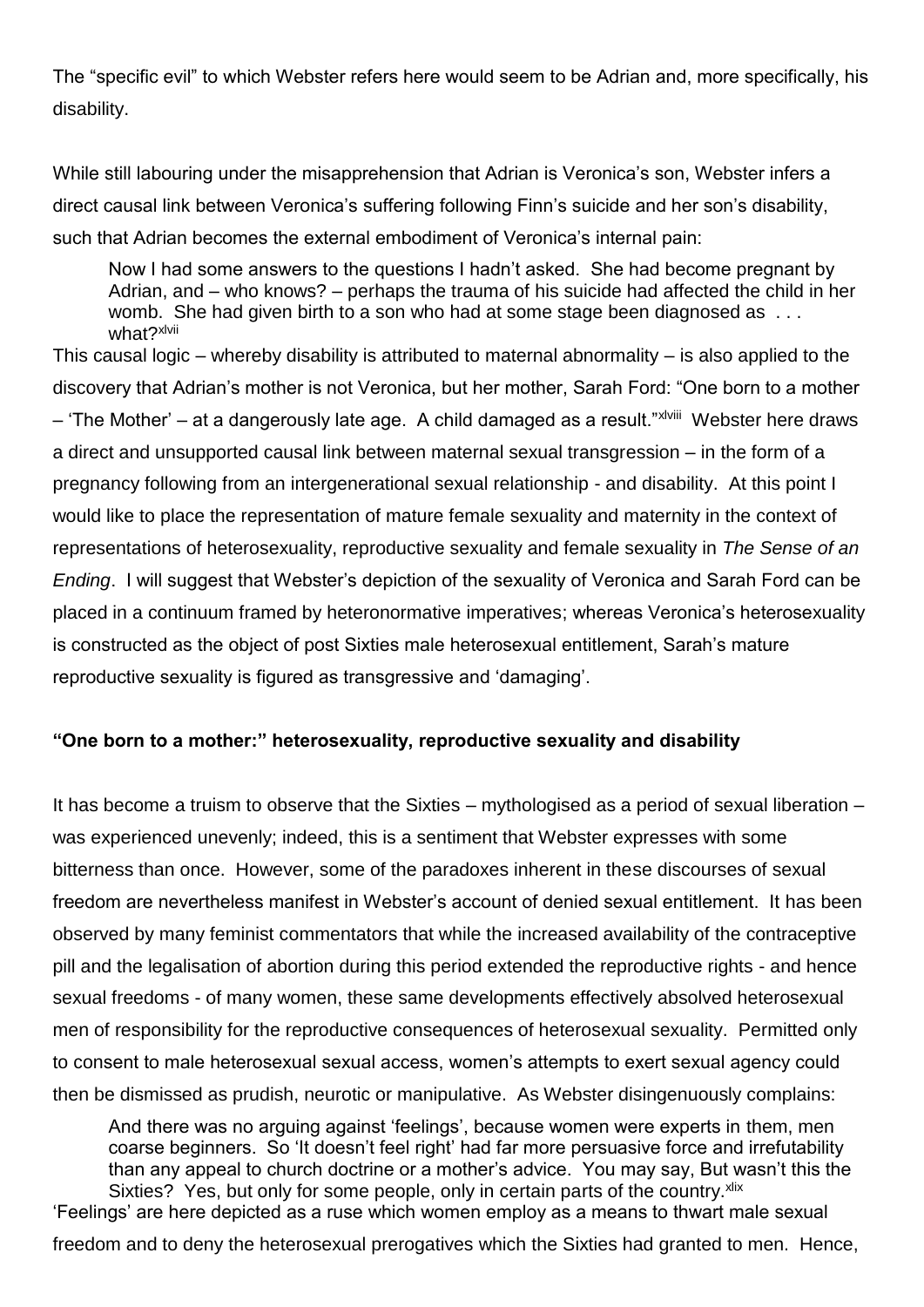The "specific evil" to which Webster refers here would seem to be Adrian and, more specifically, his disability.

While still labouring under the misapprehension that Adrian is Veronica's son, Webster infers a direct causal link between Veronica's suffering following Finn's suicide and her son's disability, such that Adrian becomes the external embodiment of Veronica's internal pain:

Now I had some answers to the questions I hadn't asked. She had become pregnant by Adrian, and – who knows? – perhaps the trauma of his suicide had affected the child in her womb. She had given birth to a son who had at some stage been diagnosed as ... what?xlvii

This causal logic – whereby disability is attributed to maternal abnormality – is also applied to the discovery that Adrian's mother is not Veronica, but her mother, Sarah Ford: "One born to a mother – 'The Mother' – at a dangerously late age. A child damaged as a result."<sup>xlviii</sup> Webster here draws a direct and unsupported causal link between maternal sexual transgression – in the form of a pregnancy following from an intergenerational sexual relationship - and disability. At this point I would like to place the representation of mature female sexuality and maternity in the context of representations of heterosexuality, reproductive sexuality and female sexuality in *The Sense of an Ending*. I will suggest that Webster's depiction of the sexuality of Veronica and Sarah Ford can be placed in a continuum framed by heteronormative imperatives; whereas Veronica's heterosexuality is constructed as the object of post Sixties male heterosexual entitlement, Sarah's mature reproductive sexuality is figured as transgressive and 'damaging'.

## **"One born to a mother:" heterosexuality, reproductive sexuality and disability**

It has become a truism to observe that the Sixties – mythologised as a period of sexual liberation – was experienced unevenly; indeed, this is a sentiment that Webster expresses with some bitterness than once. However, some of the paradoxes inherent in these discourses of sexual freedom are nevertheless manifest in Webster's account of denied sexual entitlement. It has been observed by many feminist commentators that while the increased availability of the contraceptive pill and the legalisation of abortion during this period extended the reproductive rights - and hence sexual freedoms - of many women, these same developments effectively absolved heterosexual men of responsibility for the reproductive consequences of heterosexual sexuality. Permitted only to consent to male heterosexual sexual access, women's attempts to exert sexual agency could then be dismissed as prudish, neurotic or manipulative. As Webster disingenuously complains:

And there was no arguing against 'feelings', because women were experts in them, men coarse beginners. So 'It doesn't feel right' had far more persuasive force and irrefutability than any appeal to church doctrine or a mother's advice. You may say, But wasn't this the Sixties? Yes, but only for some people, only in certain parts of the country. xlix 'Feelings' are here depicted as a ruse which women employ as a means to thwart male sexual

freedom and to deny the heterosexual prerogatives which the Sixties had granted to men. Hence,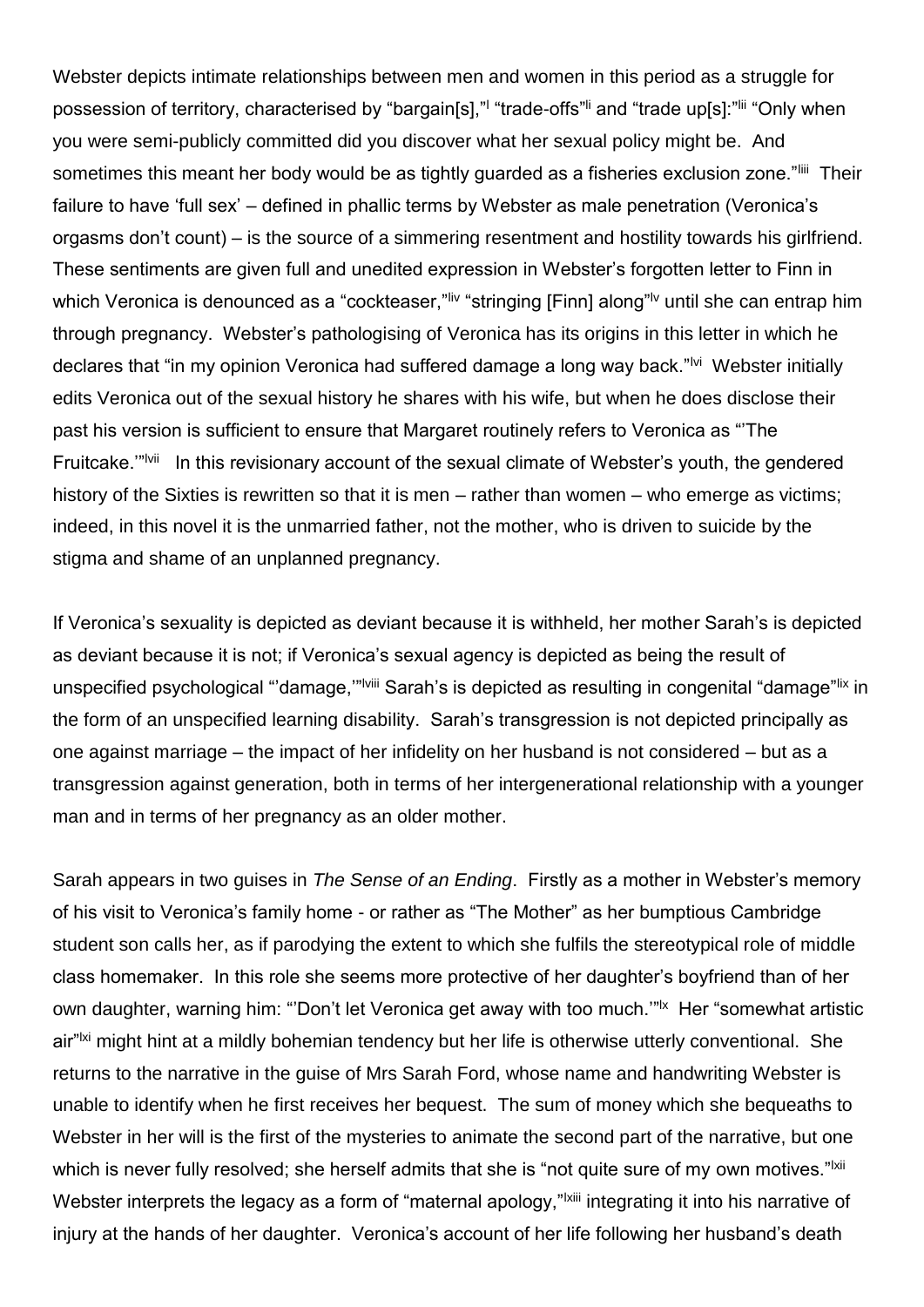Webster depicts intimate relationships between men and women in this period as a struggle for possession of territory, characterised by "bargain[s]," "trade-offs" and "trade up[s]:" "i "Only when you were semi-publicly committed did you discover what her sexual policy might be. And sometimes this meant her body would be as tightly guarded as a fisheries exclusion zone."liii Their failure to have 'full sex' – defined in phallic terms by Webster as male penetration (Veronica's orgasms don't count) – is the source of a simmering resentment and hostility towards his girlfriend. These sentiments are given full and unedited expression in Webster's forgotten letter to Finn in which Veronica is denounced as a "cockteaser," liv "stringing [Finn] along" until she can entrap him through pregnancy. Webster's pathologising of Veronica has its origins in this letter in which he declares that "in my opinion Veronica had suffered damage a long way back."<sup>Ivi</sup> Webster initially edits Veronica out of the sexual history he shares with his wife, but when he does disclose their past his version is sufficient to ensure that Margaret routinely refers to Veronica as "'The Fruitcake."<sup>Nii</sup> In this revisionary account of the sexual climate of Webster's youth, the gendered history of the Sixties is rewritten so that it is men – rather than women – who emerge as victims; indeed, in this novel it is the unmarried father, not the mother, who is driven to suicide by the stigma and shame of an unplanned pregnancy.

If Veronica's sexuality is depicted as deviant because it is withheld, her mother Sarah's is depicted as deviant because it is not; if Veronica's sexual agency is depicted as being the result of unspecified psychological "'damage,"<sup>"|viii</sup> Sarah's is depicted as resulting in congenital "damage"<sup>lix</sup> in the form of an unspecified learning disability. Sarah's transgression is not depicted principally as one against marriage – the impact of her infidelity on her husband is not considered – but as a transgression against generation, both in terms of her intergenerational relationship with a younger man and in terms of her pregnancy as an older mother.

Sarah appears in two guises in *The Sense of an Ending*. Firstly as a mother in Webster's memory of his visit to Veronica's family home - or rather as "The Mother" as her bumptious Cambridge student son calls her, as if parodying the extent to which she fulfils the stereotypical role of middle class homemaker. In this role she seems more protective of her daughter's boyfriend than of her own daughter, warning him: "'Don't let Veronica get away with too much.'"<sup>Ix</sup> Her "somewhat artistic air"<sup>Ixi</sup> might hint at a mildly bohemian tendency but her life is otherwise utterly conventional. She returns to the narrative in the guise of Mrs Sarah Ford, whose name and handwriting Webster is unable to identify when he first receives her bequest. The sum of money which she bequeaths to Webster in her will is the first of the mysteries to animate the second part of the narrative, but one which is never fully resolved; she herself admits that she is "not quite sure of my own motives."<sup>Ixii</sup> Webster interprets the legacy as a form of "maternal apology,"<sup>|xiii</sup> integrating it into his narrative of injury at the hands of her daughter. Veronica's account of her life following her husband's death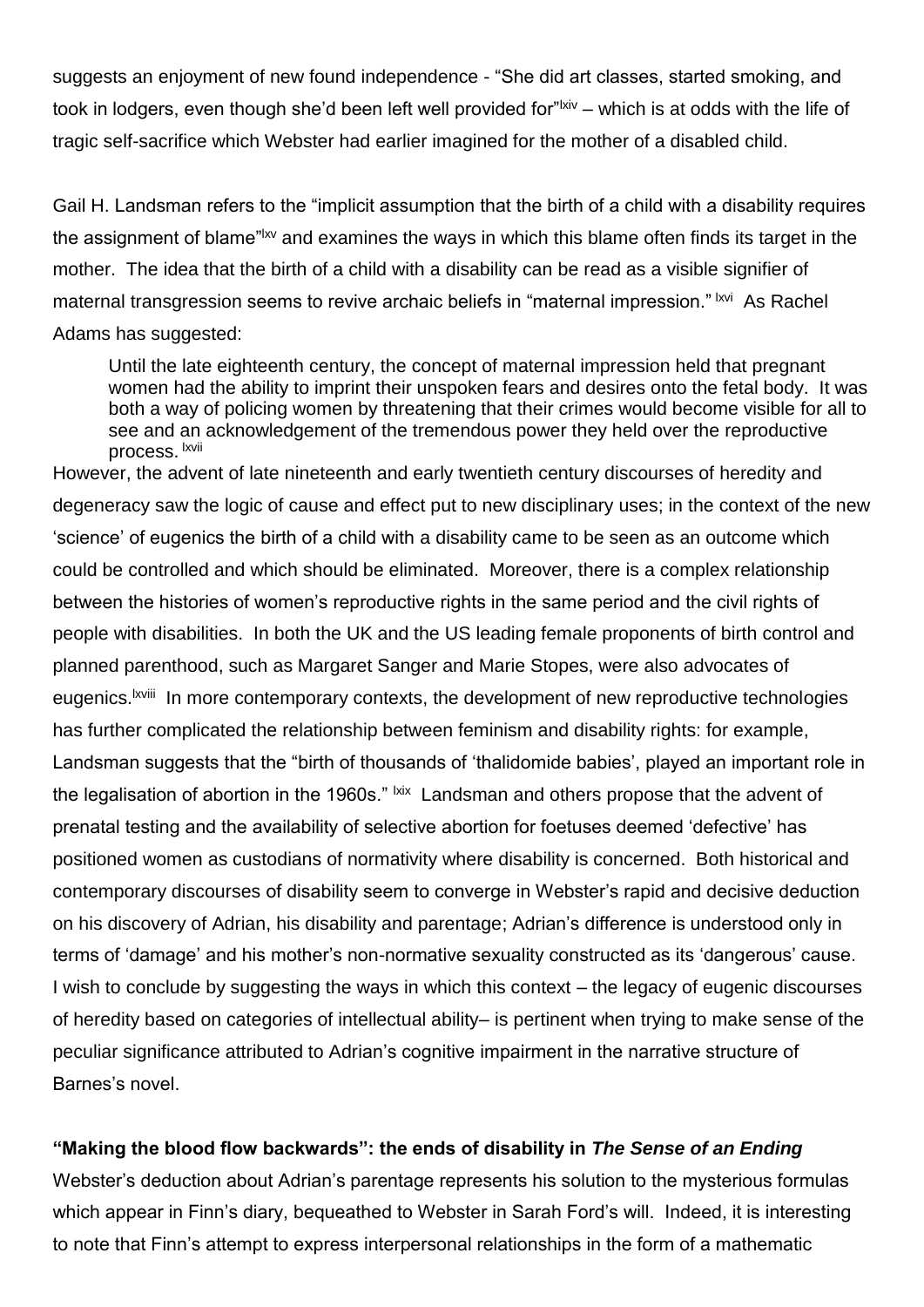suggests an enjoyment of new found independence - "She did art classes, started smoking, and took in lodgers, even though she'd been left well provided for"<sup>|xiv</sup> – which is at odds with the life of tragic self-sacrifice which Webster had earlier imagined for the mother of a disabled child.

Gail H. Landsman refers to the "implicit assumption that the birth of a child with a disability requires the assignment of blame"<sup>|xv</sup> and examines the ways in which this blame often finds its target in the mother. The idea that the birth of a child with a disability can be read as a visible signifier of maternal transgression seems to revive archaic beliefs in "maternal impression." <sup>Ixvi</sup> As Rachel Adams has suggested:

Until the late eighteenth century, the concept of maternal impression held that pregnant women had the ability to imprint their unspoken fears and desires onto the fetal body. It was both a way of policing women by threatening that their crimes would become visible for all to see and an acknowledgement of the tremendous power they held over the reproductive process. <sup>Ixvii</sup>

However, the advent of late nineteenth and early twentieth century discourses of heredity and degeneracy saw the logic of cause and effect put to new disciplinary uses; in the context of the new 'science' of eugenics the birth of a child with a disability came to be seen as an outcome which could be controlled and which should be eliminated. Moreover, there is a complex relationship between the histories of women's reproductive rights in the same period and the civil rights of people with disabilities. In both the UK and the US leading female proponents of birth control and planned parenthood, such as Margaret Sanger and Marie Stopes, were also advocates of eugenics.<sup>Ixviii</sup> In more contemporary contexts, the development of new reproductive technologies has further complicated the relationship between feminism and disability rights: for example, Landsman suggests that the "birth of thousands of 'thalidomide babies', played an important role in the legalisation of abortion in the 1960s." <sup>Ixix</sup> Landsman and others propose that the advent of prenatal testing and the availability of selective abortion for foetuses deemed 'defective' has positioned women as custodians of normativity where disability is concerned. Both historical and contemporary discourses of disability seem to converge in Webster's rapid and decisive deduction on his discovery of Adrian, his disability and parentage; Adrian's difference is understood only in terms of 'damage' and his mother's non-normative sexuality constructed as its 'dangerous' cause. I wish to conclude by suggesting the ways in which this context – the legacy of eugenic discourses of heredity based on categories of intellectual ability– is pertinent when trying to make sense of the peculiar significance attributed to Adrian's cognitive impairment in the narrative structure of Barnes's novel.

#### **"Making the blood flow backwards": the ends of disability in** *The Sense of an Ending*

Webster's deduction about Adrian's parentage represents his solution to the mysterious formulas which appear in Finn's diary, bequeathed to Webster in Sarah Ford's will. Indeed, it is interesting to note that Finn's attempt to express interpersonal relationships in the form of a mathematic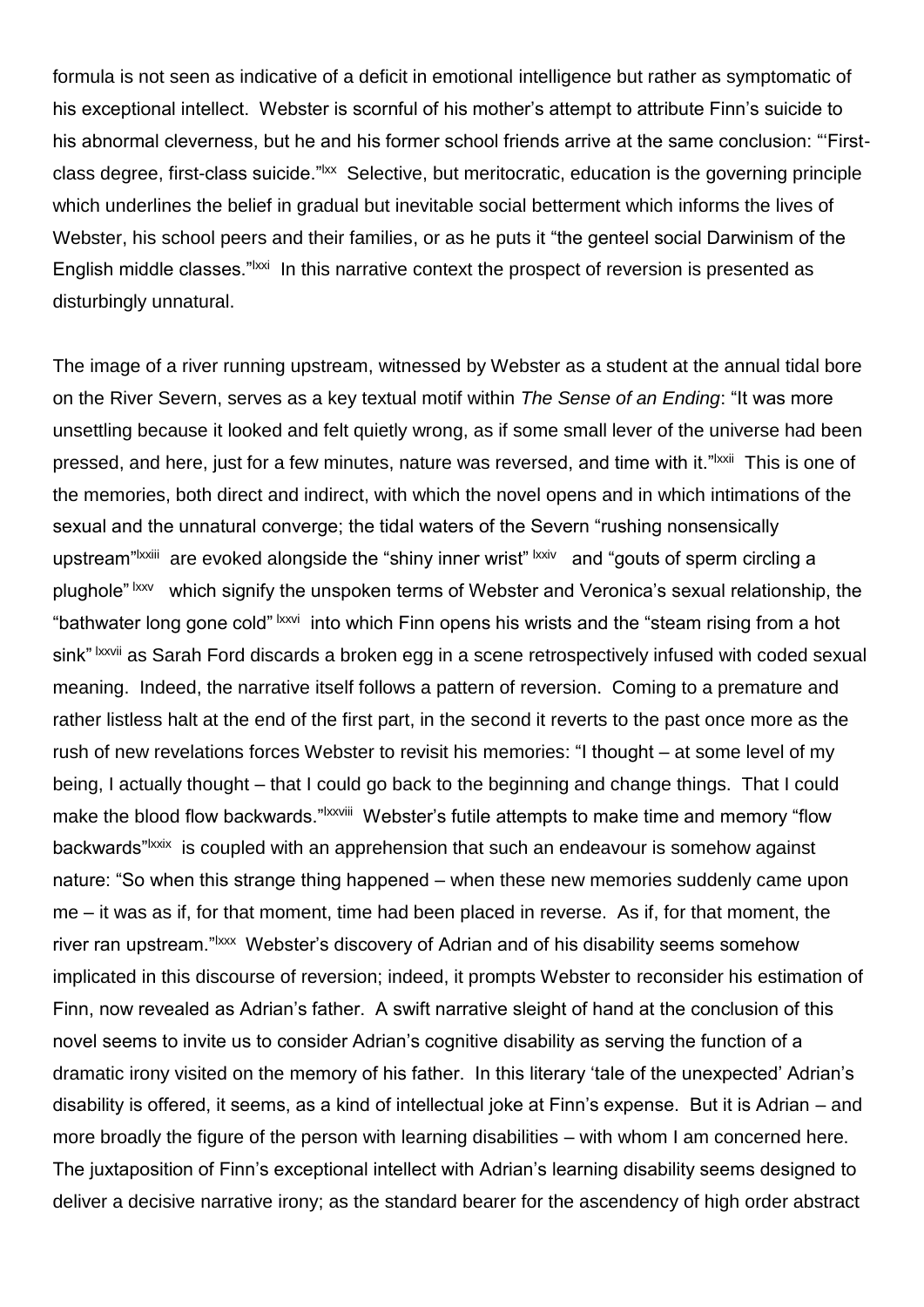formula is not seen as indicative of a deficit in emotional intelligence but rather as symptomatic of his exceptional intellect. Webster is scornful of his mother's attempt to attribute Finn's suicide to his abnormal cleverness, but he and his former school friends arrive at the same conclusion: "'Firstclass degree, first-class suicide."<sup>|xx</sup> Selective, but meritocratic, education is the governing principle which underlines the belief in gradual but inevitable social betterment which informs the lives of Webster, his school peers and their families, or as he puts it "the genteel social Darwinism of the English middle classes."<sup>Ixxi</sup> In this narrative context the prospect of reversion is presented as disturbingly unnatural.

The image of a river running upstream, witnessed by Webster as a student at the annual tidal bore on the River Severn, serves as a key textual motif within *The Sense of an Ending*: "It was more unsettling because it looked and felt quietly wrong, as if some small lever of the universe had been pressed, and here, just for a few minutes, nature was reversed, and time with it."<sup>Ixxii</sup> This is one of the memories, both direct and indirect, with which the novel opens and in which intimations of the sexual and the unnatural converge; the tidal waters of the Severn "rushing nonsensically upstream"<sup>|XXiii</sup> are evoked alongside the "shiny inner wrist" <sup>|XXiv</sup> and "gouts of sperm circling a plughole" lxxv which signify the unspoken terms of Webster and Veronica's sexual relationship, the "bathwater long gone cold" <sup>Ixxvi</sup> into which Finn opens his wrists and the "steam rising from a hot sink" Ixxvii as Sarah Ford discards a broken egg in a scene retrospectively infused with coded sexual meaning. Indeed, the narrative itself follows a pattern of reversion. Coming to a premature and rather listless halt at the end of the first part, in the second it reverts to the past once more as the rush of new revelations forces Webster to revisit his memories: "I thought – at some level of my being, I actually thought – that I could go back to the beginning and change things. That I could make the blood flow backwards."<sup>Ixxviii</sup> Webster's futile attempts to make time and memory "flow backwards"<sup>Ixxix</sup> is coupled with an apprehension that such an endeavour is somehow against nature: "So when this strange thing happened – when these new memories suddenly came upon me – it was as if, for that moment, time had been placed in reverse. As if, for that moment, the river ran upstream."<sup>Ixxx</sup> Webster's discovery of Adrian and of his disability seems somehow implicated in this discourse of reversion; indeed, it prompts Webster to reconsider his estimation of Finn, now revealed as Adrian's father. A swift narrative sleight of hand at the conclusion of this novel seems to invite us to consider Adrian's cognitive disability as serving the function of a dramatic irony visited on the memory of his father. In this literary 'tale of the unexpected' Adrian's disability is offered, it seems, as a kind of intellectual joke at Finn's expense. But it is Adrian – and more broadly the figure of the person with learning disabilities – with whom I am concerned here. The juxtaposition of Finn's exceptional intellect with Adrian's learning disability seems designed to deliver a decisive narrative irony; as the standard bearer for the ascendency of high order abstract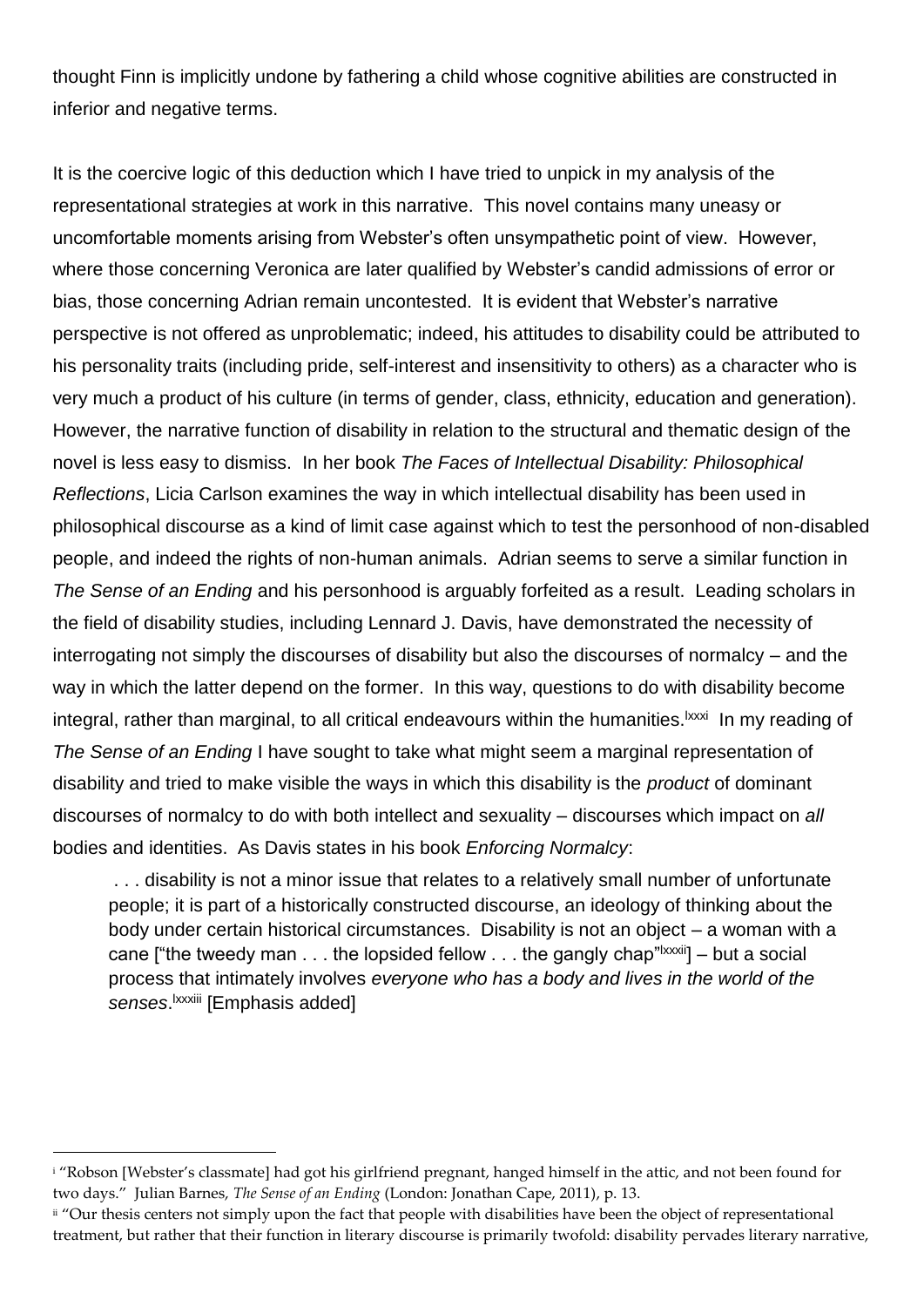thought Finn is implicitly undone by fathering a child whose cognitive abilities are constructed in inferior and negative terms.

It is the coercive logic of this deduction which I have tried to unpick in my analysis of the representational strategies at work in this narrative. This novel contains many uneasy or uncomfortable moments arising from Webster's often unsympathetic point of view. However, where those concerning Veronica are later qualified by Webster's candid admissions of error or bias, those concerning Adrian remain uncontested. It is evident that Webster's narrative perspective is not offered as unproblematic; indeed, his attitudes to disability could be attributed to his personality traits (including pride, self-interest and insensitivity to others) as a character who is very much a product of his culture (in terms of gender, class, ethnicity, education and generation). However, the narrative function of disability in relation to the structural and thematic design of the novel is less easy to dismiss. In her book *The Faces of Intellectual Disability: Philosophical Reflections*, Licia Carlson examines the way in which intellectual disability has been used in philosophical discourse as a kind of limit case against which to test the personhood of non-disabled people, and indeed the rights of non-human animals. Adrian seems to serve a similar function in *The Sense of an Ending* and his personhood is arguably forfeited as a result. Leading scholars in the field of disability studies, including Lennard J. Davis, have demonstrated the necessity of interrogating not simply the discourses of disability but also the discourses of normalcy – and the way in which the latter depend on the former. In this way, questions to do with disability become integral, rather than marginal, to all critical endeavours within the humanities.<sup>|xxxi</sup>ln my reading of *The Sense of an Ending* I have sought to take what might seem a marginal representation of disability and tried to make visible the ways in which this disability is the *product* of dominant discourses of normalcy to do with both intellect and sexuality – discourses which impact on *all* bodies and identities. As Davis states in his book *Enforcing Normalcy*:

. . . disability is not a minor issue that relates to a relatively small number of unfortunate people; it is part of a historically constructed discourse, an ideology of thinking about the body under certain historical circumstances. Disability is not an object – a woman with a cane ["the tweedy man  $\dots$  the lopsided fellow  $\dots$  the gangly chap" $\text{taxxiii}$ ] – but a social process that intimately involves *everyone who has a body and lives in the world of the*  senses.<sup>Ixxxiii</sup> [Emphasis added]

l

<sup>&</sup>lt;sup>i</sup> "Robson [Webster's classmate] had got his girlfriend pregnant, hanged himself in the attic, and not been found for two days." Julian Barnes, *The Sense of an Ending* (London: Jonathan Cape, 2011), p. 13.

ii "Our thesis centers not simply upon the fact that people with disabilities have been the object of representational treatment, but rather that their function in literary discourse is primarily twofold: disability pervades literary narrative,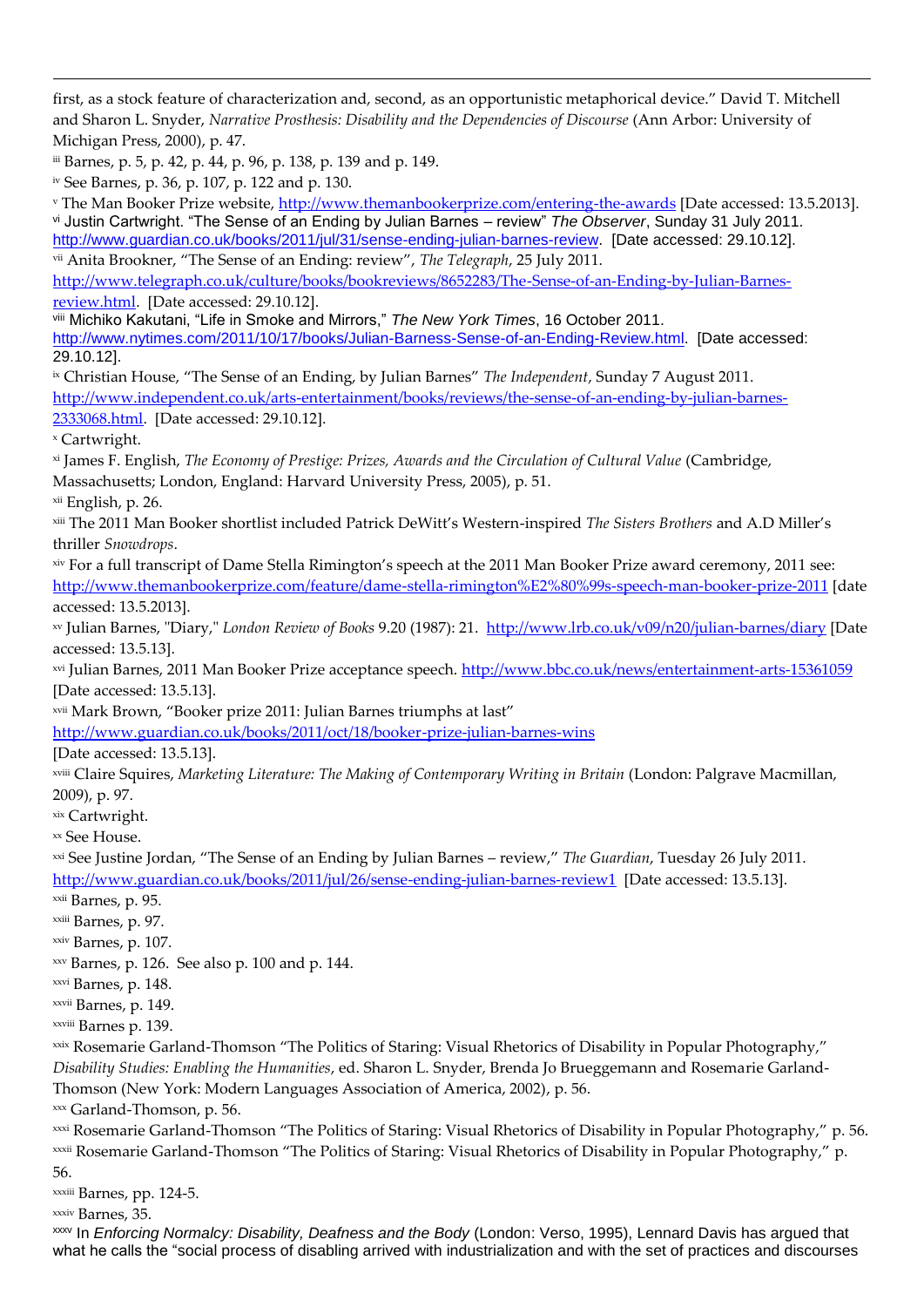first, as a stock feature of characterization and, second, as an opportunistic metaphorical device." David T. Mitchell and Sharon L. Snyder, *Narrative Prosthesis: Disability and the Dependencies of Discourse* (Ann Arbor: University of Michigan Press, 2000), p. 47.

iii Barnes, p. 5, p. 42, p. 44, p. 96, p. 138, p. 139 and p. 149.

iv See Barnes, p. 36, p. 107, p. 122 and p. 130.

<sup>v</sup> The Man Booker Prize website,<http://www.themanbookerprize.com/entering-the-awards> [Date accessed: 13.5.2013]. vi Justin Cartwright. "The Sense of an Ending by Julian Barnes – review" *The Observer*, Sunday 31 July 2011. [http://www.guardian.co.uk/books/2011/jul/31/sense-ending-julian-barnes-review.](http://www.guardian.co.uk/books/2011/jul/31/sense-ending-julian-barnes-review) [Date accessed: 29.10.12]. vii Anita Brookner, "The Sense of an Ending: review", *The Telegraph*, 25 July 2011.

[http://www.telegraph.co.uk/culture/books/bookreviews/8652283/The-Sense-of-an-Ending-by-Julian-Barnes](http://www.telegraph.co.uk/culture/books/bookreviews/8652283/The-Sense-of-an-Ending-by-Julian-Barnes-review.html)[review.html.](http://www.telegraph.co.uk/culture/books/bookreviews/8652283/The-Sense-of-an-Ending-by-Julian-Barnes-review.html) [Date accessed: 29.10.12].

viii Michiko Kakutani, "Life in Smoke and Mirrors," *The New York Times*, 16 October 2011. [http://www.nytimes.com/2011/10/17/books/Julian-Barness-Sense-of-an-Ending-Review.html.](http://www.nytimes.com/2011/10/17/books/Julian-Barness-Sense-of-an-Ending-Review.html) [Date accessed: 29.10.12].

ix Christian House, "The Sense of an Ending, by Julian Barnes" *The Independent*, Sunday 7 August 2011. [http://www.independent.co.uk/arts-entertainment/books/reviews/the-sense-of-an-ending-by-julian-barnes-](http://www.independent.co.uk/arts-entertainment/books/reviews/the-sense-of-an-ending-by-julian-barnes-2333068.html)

[2333068.html.](http://www.independent.co.uk/arts-entertainment/books/reviews/the-sense-of-an-ending-by-julian-barnes-2333068.html) [Date accessed: 29.10.12].

<sup>x</sup> Cartwright.

l

xi James F. English, *The Economy of Prestige: Prizes, Awards and the Circulation of Cultural Value* (Cambridge, Massachusetts; London, England: Harvard University Press, 2005), p. 51.

xii English, p. 26.

xiii The 2011 Man Booker shortlist included Patrick DeWitt's Western-inspired *The Sisters Brothers* and A.D Miller's thriller *Snowdrops*.

xiv For a full transcript of Dame Stella Rimington's speech at the 2011 Man Booker Prize award ceremony, 2011 see: <http://www.themanbookerprize.com/feature/dame-stella-rimington%E2%80%99s-speech-man-booker-prize-2011> [date accessed: 13.5.2013].

xv Julian Barnes, "Diary," *London Review of Books* 9.20 (1987): 21. <http://www.lrb.co.uk/v09/n20/julian-barnes/diary> [Date accessed: 13.5.13].

xvi Julian Barnes, 2011 Man Booker Prize acceptance speech.<http://www.bbc.co.uk/news/entertainment-arts-15361059> [Date accessed: 13.5.13].

xvii Mark Brown, "Booker prize 2011: Julian Barnes triumphs at last"

<http://www.guardian.co.uk/books/2011/oct/18/booker-prize-julian-barnes-wins>

[Date accessed: 13.5.13].

xviii Claire Squires, *Marketing Literature: The Making of Contemporary Writing in Britain* (London: Palgrave Macmillan, 2009), p. 97.

xix Cartwright.

xx See House.

xxi See Justine Jordan, "The Sense of an Ending by Julian Barnes – review," *The Guardian*, Tuesday 26 July 2011. <http://www.guardian.co.uk/books/2011/jul/26/sense-ending-julian-barnes-review1>[Date accessed: 13.5.13].

xxii Barnes, p. 95.

xxiii Barnes, p. 97.

xxiv Barnes, p. 107.

 $xxy$  Barnes, p. 126. See also p. 100 and p. 144.

xxvi Barnes, p. 148.

xxvii Barnes, p. 149.

xxviii Barnes p. 139.

xxix Rosemarie Garland-Thomson "The Politics of Staring: Visual Rhetorics of Disability in Popular Photography," *Disability Studies: Enabling the Humanities*, ed. Sharon L. Snyder, Brenda Jo Brueggemann and Rosemarie Garland-Thomson (New York: Modern Languages Association of America, 2002), p. 56.

xxx Garland-Thomson, p. 56.

xxxi Rosemarie Garland-Thomson "The Politics of Staring: Visual Rhetorics of Disability in Popular Photography," p. 56. xxxii Rosemarie Garland-Thomson "The Politics of Staring: Visual Rhetorics of Disability in Popular Photography," p.

56.

xxxiii Barnes, pp. 124-5.

xxxiv Barnes, 35.

xxxv In *Enforcing Normalcy: Disability, Deafness and the Body* (London: Verso, 1995), Lennard Davis has argued that what he calls the "social process of disabling arrived with industrialization and with the set of practices and discourses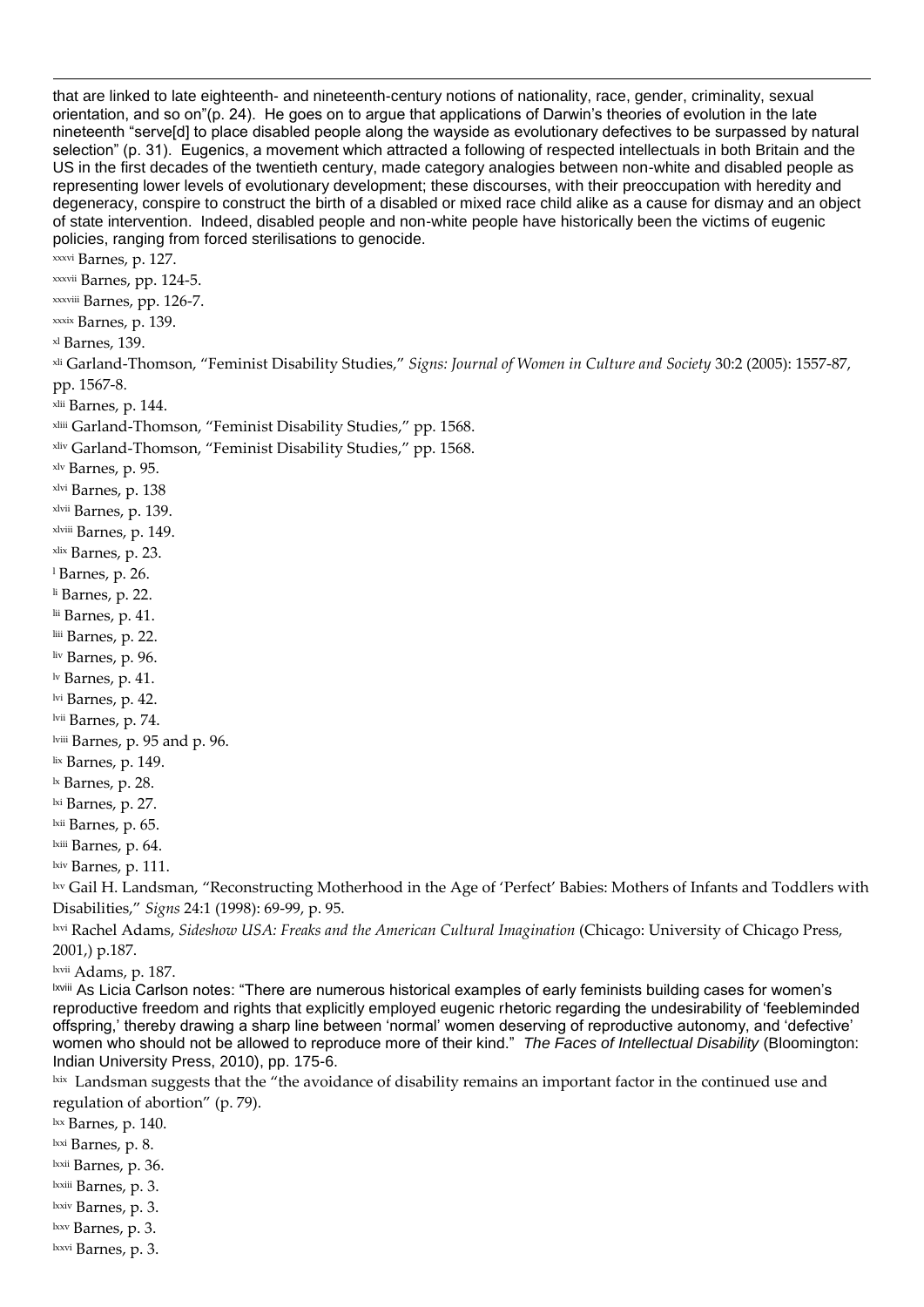that are linked to late eighteenth- and nineteenth-century notions of nationality, race, gender, criminality, sexual orientation, and so on"(p. 24). He goes on to argue that applications of Darwin's theories of evolution in the late nineteenth "serve[d] to place disabled people along the wayside as evolutionary defectives to be surpassed by natural selection" (p. 31). Eugenics, a movement which attracted a following of respected intellectuals in both Britain and the US in the first decades of the twentieth century, made category analogies between non-white and disabled people as representing lower levels of evolutionary development; these discourses, with their preoccupation with heredity and degeneracy, conspire to construct the birth of a disabled or mixed race child alike as a cause for dismay and an object of state intervention. Indeed, disabled people and non-white people have historically been the victims of eugenic policies, ranging from forced sterilisations to genocide. xxxvi Barnes, p. 127. xxxvii Barnes, pp. 124-5. xxxviii Barnes, pp. 126-7. xxxix Barnes, p. 139. xl Barnes, 139. xli Garland-Thomson, "Feminist Disability Studies," *Signs: Journal of Women in Culture and Society* 30:2 (2005): 1557-87, pp. 1567-8. xlii Barnes, p. 144. xliii Garland-Thomson, "Feminist Disability Studies," pp. 1568. xliv Garland-Thomson, "Feminist Disability Studies," pp. 1568. xlv Barnes, p. 95. xlvi Barnes, p. 138 xlvii Barnes, p. 139. xlviii Barnes, p. 149. xlix Barnes, p. 23. <sup>l</sup> Barnes, p. 26. li Barnes, p. 22. lii Barnes, p. 41. liii Barnes, p. 22. liv Barnes, p. 96. lv Barnes, p. 41. lvi Barnes, p. 42. lvii Barnes, p. 74. lviii Barnes, p. 95 and p. 96. lix Barnes, p. 149. lx Barnes, p. 28. lxi Barnes, p. 27. lxii Barnes, p. 65. lxiii Barnes, p. 64. lxiv Barnes, p. 111. lxv Gail H. Landsman, "Reconstructing Motherhood in the Age of 'Perfect' Babies: Mothers of Infants and Toddlers with Disabilities," *Signs* 24:1 (1998): 69-99, p. 95. lxvi Rachel Adams, *Sideshow USA: Freaks and the American Cultural Imagination* (Chicago: University of Chicago Press, 2001,) p.187. lxvii Adams, p. 187. lxviii As Licia Carlson notes: "There are numerous historical examples of early feminists building cases for women's reproductive freedom and rights that explicitly employed eugenic rhetoric regarding the undesirability of 'feebleminded offspring,' thereby drawing a sharp line between 'normal' women deserving of reproductive autonomy, and 'defective' women who should not be allowed to reproduce more of their kind." *The Faces of Intellectual Disability* (Bloomington: Indian University Press, 2010), pp. 175-6.  $\frac{1}{100}$  Landsman suggests that the "the avoidance of disability remains an important factor in the continued use and regulation of abortion" (p. 79).  $\frac{lxx}{l}$  Barnes, p. 140.

lxxi Barnes, p. 8.

l

lxxii Barnes, p. 36.

lxxiii Barnes, p. 3.

lxxiv Barnes, p. 3.

lxxv Barnes, p. 3.

lxxvi Barnes, p. 3.